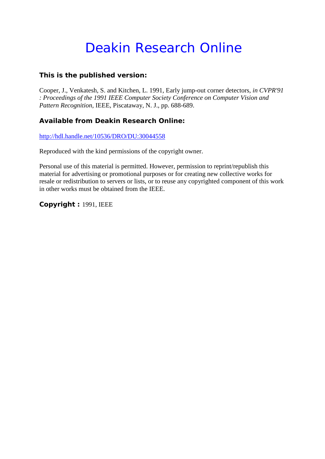# Deakin Research Online

# **This is the published version:**

Cooper, J., Venkatesh, S. and Kitchen, L. 1991, Early jump-out corner detectors*, in CVPR'91 : Proceedings of the 1991 IEEE Computer Society Conference on Computer Vision and Pattern Recognition*, IEEE, Piscataway, N. J., pp. 688-689.

# **Available from Deakin Research Online:**

<http://hdl.handle.net/10536/DRO/DU:30044558>

Reproduced with the kind permissions of the copyright owner.

Personal use of this material is permitted. However, permission to reprint/republish this material for advertising or promotional purposes or for creating new collective works for resale or redistribution to servers or lists, or to reuse any copyrighted component of this work in other works must be obtained from the IEEE.

**Copyright :** 1991, IEEE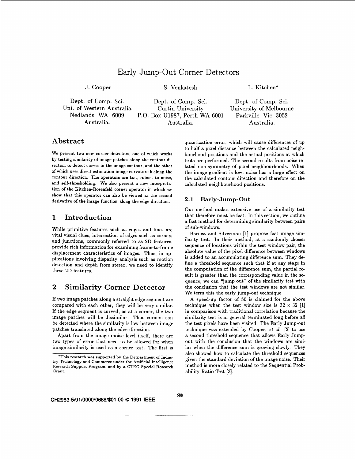# Early Jump-Out Corner Detectors

J. Cooper S. Venkatesh L. Kitchen\*

Dept. of Comp. Sci. Dept. of Comp. Sci. Dept. of Comp. Sci. ni. of Western Australia Curtin University University of Melbourne<br>Nedlands WA 6009 P.O. Box U1987, Perth WA 6001 Parkville Vic 3052 P.O. Box U1987, Perth WA 6001 Australia. Australia. Australia.

## **Abstract**

We present two new corner detectors, one of which works by testing similarity of image patches along the contour direction to detect curves in the image contour, and the other of which uses direct estimation image curvature **k** along the contour direction. The operators are fast, robust to noise, and self-thresholding. **We also** present a new interpretation of the Kitchen-Rosenfeld corner operator in which we show that this operator can **also** be viewed **as** the second derivative of the image function along the edge direction.

## **1 Introduction**

While primitive features such **as** edges and lines are vital visual clues, intersection of edges such **as** corners and junctions, commonly referred to **as 2D** features, provide rich information for examining frame-to-frame displacement characteristics of images. Thus, in applications involving disparity analysis such **as** motion detection and depth from stereo, we need to identify these **2D** features.

## **2 Similarity Corner Detector**

If two image patches along a straight edge segment are compared with each other, they will be very similar. If the edge segment is curved, **as** at a corner, the two image patches will be dissimilar. Thus corners can be detected where the similarity is low between image patches translated along the edge direction.

Apart from the image moise level itself, there are two types of error that need to be allowed for when image similarity is used **as** a corner test. The first is

quantization error, which will cause differences of up to half a pixel distance between the calculated neighbourhood positions and the actual positions at which tests are performed. The second results from noise **re**lated non-symmetry of pixel neighbourhoods. When the image gradient is low, noise has a large effect on the calculated contour direction and therefore on the calculated neighbourhood positions.

#### **2.1 Early-Jump-Out**

Our method makes extensive use of a similarity test that therefore must be fast. In this section, we outline a fast method for determining similarity between pairs of sub-windows.

Barnea and Silverman **[l]** propose fast image similarity test. In their method, at a randomly chosen sequence of locations within the test window pair, the absolute value of the pixel difference between windows is added to an accumulating difference sum. They define a threshold sequence such that if at any stage in the computation of the difference sum, the partial result is greater than the corresponding value in the sequence, we can "jump out" of the similarity test with the conclusion that the test windows are not similar. We term this the early jump-out technique.

**A** speed-up factor of 50 is claimed for the above technique when the test window size is  $32 \times 32$  [1] in comparison with traditional correlation because the similarity test is in general terminated long before all the test pixels have been visited. The Early Jump-out technique was extended by Cooper, *et al.* **[2]** to use a second threshold sequence that allows Early Jumpout with the conclusion that the windows are similar when the difference sum is growing slowly. They also showed how to calculate the threshold sequences given the standard deviation of the image noise. Their method is more closely related to the Sequential Prob- **Grant.** ability Ratio Test **[3].** 

**CH2983-5/91/0000/0688/\$01 .OO** *0* **1991 IEEE** 

**<sup>&#</sup>x27;This research was supported by the Detpartment of Indus**try Technology and Commerce under the Artificial Intelligence Research Support Program, and by a CTEC Special Research Grant.